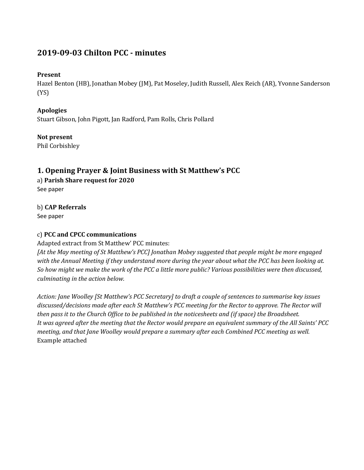# **2019-09-03 Chilton PCC - minutes**

#### **Present**

Hazel Benton (HB), Jonathan Mobey (JM), Pat Moseley, Judith Russell, Alex Reich (AR), Yvonne Sanderson (YS)

#### **Apologies**

Stuart Gibson, John Pigott, Jan Radford, Pam Rolls, Chris Pollard

### **Not present**

Phil Corbishley

### **1. Opening Prayer & Joint Business with St Matthew's PCC**

a) **Parish Share request for 2020**

See paper

# b) **CAP Referrals**

See paper

#### c) **PCC and CPCC communications**

Adapted extract from St Matthew' PCC minutes:

*[At the May meeting of St Matthew's PCC] Jonathan Mobey suggested that people might be more engaged with the Annual Meeting if they understand more during the year about what the PCC has been looking at. So how might we make the work of the PCC a little more public? Various possibilities were then discussed, culminating in the action below.*

*Action: Jane Woolley [St Matthew's PCC Secretary] to draft a couple of sentences to summarise key issues discussed/decisions made after each St Matthew's PCC meeting for the Rector to approve. The Rector will then pass it to the Church Office to be published in the noticesheets and (if space) the Broadsheet. It was agreed after the meeting that the Rector would prepare an equivalent summary of the All Saints' PCC meeting, and that Jane Woolley would prepare a summary after each Combined PCC meeting as well.* Example attached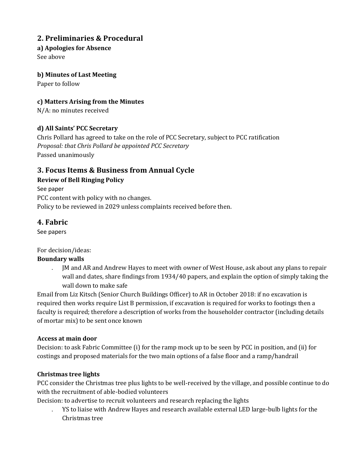# **2. Preliminaries & Procedural**

#### **a) Apologies for Absence**

See above

#### **b) Minutes of Last Meeting**

Paper to follow

### **c) Matters Arising from the Minutes**

N/A: no minutes received

#### **d) All Saints' PCC Secretary**

Chris Pollard has agreed to take on the role of PCC Secretary, subject to PCC ratification *Proposal: that Chris Pollard be appointed PCC Secretary* Passed unanimously

# **3. Focus Items & Business from Annual Cycle**

### **Review of Bell Ringing Policy**

See paper PCC content with policy with no changes. Policy to be reviewed in 2029 unless complaints received before then.

# **4. Fabric**

See papers

#### For decision/ideas:

#### **Boundary walls**

. JM and AR and Andrew Hayes to meet with owner of West House, ask about any plans to repair wall and dates, share findings from 1934/40 papers, and explain the option of simply taking the wall down to make safe

Email from Liz Kitsch (Senior Church Buildings Officer) to AR in October 2018: if no excavation is required then works require List B permission, if excavation is required for works to footings then a faculty is required; therefore a description of works from the householder contractor (including details of mortar mix) to be sent once known

#### **Access at main door**

Decision: to ask Fabric Committee (i) for the ramp mock up to be seen by PCC in position, and (ii) for costings and proposed materials for the two main options of a false floor and a ramp/handrail

#### **Christmas tree lights**

PCC consider the Christmas tree plus lights to be well-received by the village, and possible continue to do with the recruitment of able-bodied volunteers

Decision: to advertise to recruit volunteers and research replacing the lights

. YS to liaise with Andrew Hayes and research available external LED large-bulb lights for the Christmas tree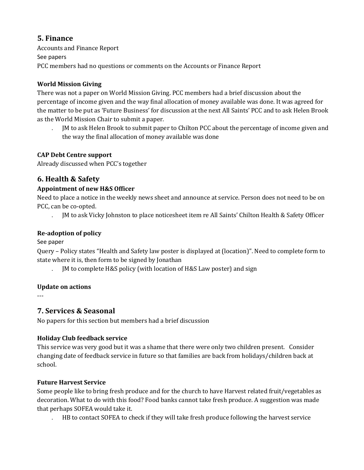# **5. Finance**

Accounts and Finance Report See papers PCC members had no questions or comments on the Accounts or Finance Report

#### **World Mission Giving**

There was not a paper on World Mission Giving. PCC members had a brief discussion about the percentage of income given and the way final allocation of money available was done. It was agreed for the matter to be put as 'Future Business' for discussion at the next All Saints' PCC and to ask Helen Brook as the World Mission Chair to submit a paper.

. JM to ask Helen Brook to submit paper to Chilton PCC about the percentage of income given and the way the final allocation of money available was done

### **CAP Debt Centre support**

Already discussed when PCC's together

# **6. Health & Safety**

#### **Appointment of new H&S Officer**

Need to place a notice in the weekly news sheet and announce at service. Person does not need to be on PCC, can be co-opted.

. JM to ask Vicky Johnston to place noticesheet item re All Saints' Chilton Health & Safety Officer

#### **Re-adoption of policy**

See paper

Query – Policy states "Health and Safety law poster is displayed at (location)". Need to complete form to state where it is, then form to be signed by Jonathan

. JM to complete H&S policy (with location of H&S Law poster) and sign

#### **Update on actions**

---

# **7. Services & Seasonal**

No papers for this section but members had a brief discussion

### **Holiday Club feedback service**

This service was very good but it was a shame that there were only two children present. Consider changing date of feedback service in future so that families are back from holidays/children back at school.

#### **Future Harvest Service**

Some people like to bring fresh produce and for the church to have Harvest related fruit/vegetables as decoration. What to do with this food? Food banks cannot take fresh produce. A suggestion was made that perhaps SOFEA would take it.

. HB to contact SOFEA to check if they will take fresh produce following the harvest service